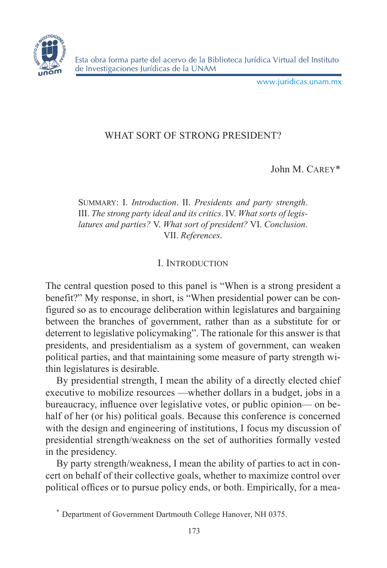

www.juridicas.unam.mx

# WHAT SORT OF STRONG PRESIDENT?

John M. Carey\*

Summary: I. *Introduction*. II. *Presidents and party strength*. III. *The strong party ideal and its critics*. IV. *What sorts of legislatures and parties?* V. *What sort of president?* VI. *Conclusion*. VII. *References*.

## I. Introduction

The central question posed to this panel is "When is a strong president a benefit?" My response, in short, is "When presidential power can be configured so as to encourage deliberation within legislatures and bargaining between the branches of government, rather than as a substitute for or deterrent to legislative policymaking". The rationale for this answer is that presidents, and presidentialism as a system of government, can weaken political parties, and that maintaining some measure of party strength within legislatures is desirable.

By presidential strength, I mean the ability of a directly elected chief executive to mobilize resources —whether dollars in a budget, jobs in a bureaucracy, influence over legislative votes, or public opinion— on behalf of her (or his) political goals. Because this conference is concerned with the design and engineering of institutions, I focus my discussion of presidential strength/weakness on the set of authorities formally vested in the presidency.

By party strength/weakness, I mean the ability of parties to act in concert on behalf of their collective goals, whether to maximize control over political offices or to pursue policy ends, or both. Empirically, for a mea-

<sup>\*</sup> Department of Government Dartmouth College Hanover, NH 0375.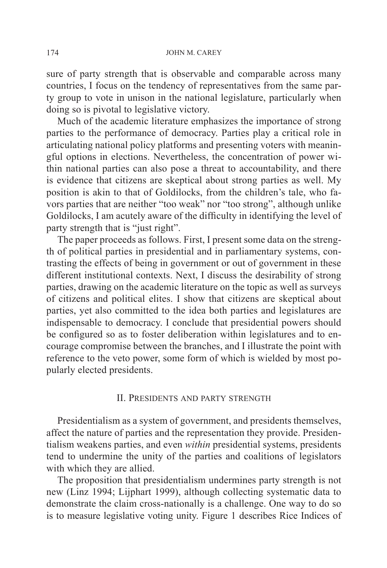sure of party strength that is observable and comparable across many countries, I focus on the tendency of representatives from the same party group to vote in unison in the national legislature, particularly when doing so is pivotal to legislative victory.

Much of the academic literature emphasizes the importance of strong parties to the performance of democracy. Parties play a critical role in articulating national policy platforms and presenting voters with meaningful options in elections. Nevertheless, the concentration of power within national parties can also pose a threat to accountability, and there is evidence that citizens are skeptical about strong parties as well. My position is akin to that of Goldilocks, from the children's tale, who favors parties that are neither "too weak" nor "too strong", although unlike Goldilocks, I am acutely aware of the difficulty in identifying the level of party strength that is "just right".

The paper proceeds as follows. First, I present some data on the strength of political parties in presidential and in parliamentary systems, contrasting the effects of being in government or out of government in these different institutional contexts. Next, I discuss the desirability of strong parties, drawing on the academic literature on the topic as well as surveys of citizens and political elites. I show that citizens are skeptical about parties, yet also committed to the idea both parties and legislatures are indispensable to democracy. I conclude that presidential powers should be configured so as to foster deliberation within legislatures and to encourage compromise between the branches, and I illustrate the point with reference to the veto power, some form of which is wielded by most popularly elected presidents.

### II. Presidents and party strength

Presidentialism as a system of government, and presidents themselves, affect the nature of parties and the representation they provide. Presidentialism weakens parties, and even *within* presidential systems, presidents tend to undermine the unity of the parties and coalitions of legislators with which they are allied.

The proposition that presidentialism undermines party strength is not new (Linz 1994; Lijphart 1999), although collecting systematic data to demonstrate the claim cross-nationally is a challenge. One way to do so is to measure legislative voting unity. Figure 1 describes Rice Indices of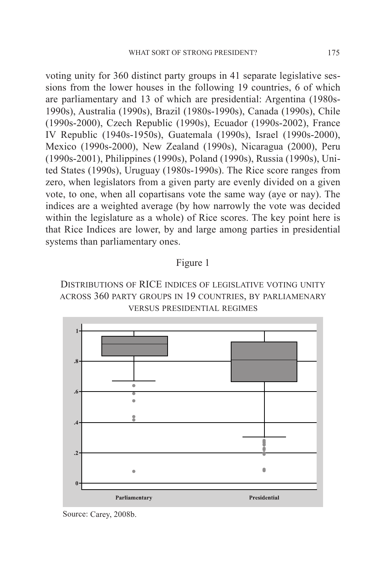voting unity for 360 distinct party groups in 41 separate legislative sessions from the lower houses in the following 19 countries, 6 of which are parliamentary and 13 of which are presidential: Argentina (1980s-1990s), Australia (1990s), Brazil (1980s-1990s), Canada (1990s), Chile (1990s-2000), Czech Republic (1990s), Ecuador (1990s-2002), France IV Republic (1940s-1950s), Guatemala (1990s), Israel (1990s-2000), Mexico (1990s-2000), New Zealand (1990s), Nicaragua (2000), Peru (1990s-2001), Philippines (1990s), Poland (1990s), Russia (1990s), United States (1990s), Uruguay (1980s-1990s). The Rice score ranges from zero, when legislators from a given party are evenly divided on a given vote, to one, when all copartisans vote the same way (aye or nay). The indices are a weighted average (by how narrowly the vote was decided within the legislature as a whole) of Rice scores. The key point here is that Rice Indices are lower, by and large among parties in presidential systems than parliamentary ones.

## Figure 1





Source: Carey, 2008b.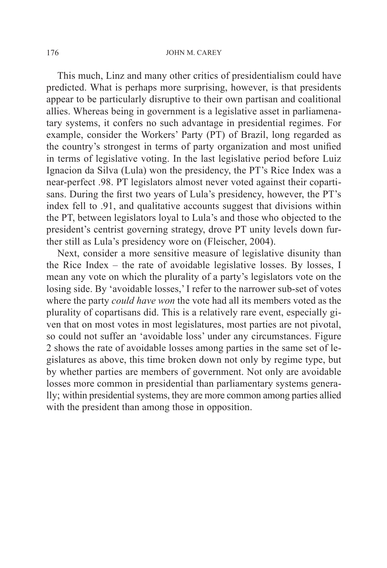This much, Linz and many other critics of presidentialism could have predicted. What is perhaps more surprising, however, is that presidents appear to be particularly disruptive to their own partisan and coalitional allies. Whereas being in government is a legislative asset in parliamenatary systems, it confers no such advantage in presidential regimes. For example, consider the Workers' Party (PT) of Brazil, long regarded as the country's strongest in terms of party organization and most unified in terms of legislative voting. In the last legislative period before Luiz Ignacion da Silva (Lula) won the presidency, the PT's Rice Index was a near-perfect .98. PT legislators almost never voted against their copartisans. During the first two years of Lula's presidency, however, the PT's index fell to .91, and qualitative accounts suggest that divisions within the PT, between legislators loyal to Lula's and those who objected to the president's centrist governing strategy, drove PT unity levels down further still as Lula's presidency wore on (Fleischer, 2004).

Next, consider a more sensitive measure of legislative disunity than the Rice Index – the rate of avoidable legislative losses. By losses, I mean any vote on which the plurality of a party's legislators vote on the losing side. By 'avoidable losses,' I refer to the narrower sub-set of votes where the party *could have won* the vote had all its members voted as the plurality of copartisans did. This is a relatively rare event, especially given that on most votes in most legislatures, most parties are not pivotal, so could not suffer an 'avoidable loss' under any circumstances. Figure 2 shows the rate of avoidable losses among parties in the same set of legislatures as above, this time broken down not only by regime type, but by whether parties are members of government. Not only are avoidable losses more common in presidential than parliamentary systems generally; within presidential systems, they are more common among parties allied with the president than among those in opposition.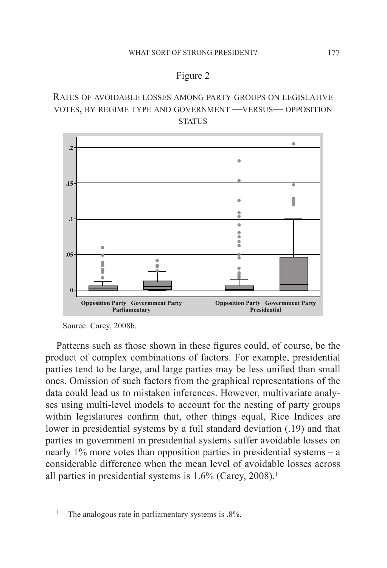## Figure 2

## Rates of avoidable losses among party groups on legislative votes, by regime type and government —versus— opposition **STATUS**



Source: Carey, 2008b.

Patterns such as those shown in these figures could, of course, be the product of complex combinations of factors. For example, presidential parties tend to be large, and large parties may be less unified than small ones. Omission of such factors from the graphical representations of the data could lead us to mistaken inferences. However, multivariate analyses using multi-level models to account for the nesting of party groups within legislatures confirm that, other things equal, Rice Indices are lower in presidential systems by a full standard deviation (.19) and that parties in government in presidential systems suffer avoidable losses on nearly 1% more votes than opposition parties in presidential systems – a considerable difference when the mean level of avoidable losses across all parties in presidential systems is  $1.6\%$  (Carey, 2008).<sup>1</sup>

<sup>1</sup> The analogous rate in parliamentary systems is .8%.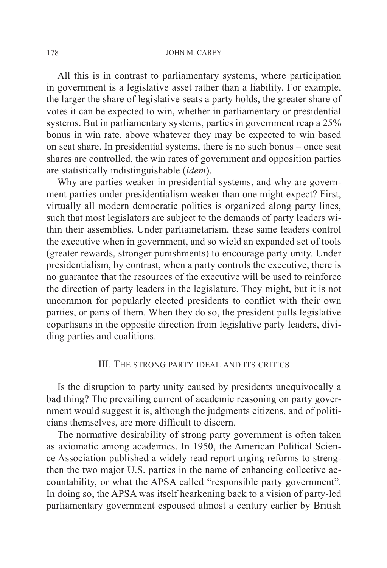All this is in contrast to parliamentary systems, where participation in government is a legislative asset rather than a liability. For example, the larger the share of legislative seats a party holds, the greater share of votes it can be expected to win, whether in parliamentary or presidential systems. But in parliamentary systems, parties in government reap a 25% bonus in win rate, above whatever they may be expected to win based on seat share. In presidential systems, there is no such bonus – once seat shares are controlled, the win rates of government and opposition parties are statistically indistinguishable (*idem*).

Why are parties weaker in presidential systems, and why are government parties under presidentialism weaker than one might expect? First, virtually all modern democratic politics is organized along party lines, such that most legislators are subject to the demands of party leaders within their assemblies. Under parliametarism, these same leaders control the executive when in government, and so wield an expanded set of tools (greater rewards, stronger punishments) to encourage party unity. Under presidentialism, by contrast, when a party controls the executive, there is no guarantee that the resources of the executive will be used to reinforce the direction of party leaders in the legislature. They might, but it is not uncommon for popularly elected presidents to conflict with their own parties, or parts of them. When they do so, the president pulls legislative copartisans in the opposite direction from legislative party leaders, dividing parties and coalitions.

### III. The strong party ideal and its critics

Is the disruption to party unity caused by presidents unequivocally a bad thing? The prevailing current of academic reasoning on party government would suggest it is, although the judgments citizens, and of politicians themselves, are more difficult to discern.

The normative desirability of strong party government is often taken as axiomatic among academics. In 1950, the American Political Science Association published a widely read report urging reforms to strengthen the two major U.S. parties in the name of enhancing collective accountability, or what the APSA called "responsible party government". In doing so, the APSA was itself hearkening back to a vision of party-led parliamentary government espoused almost a century earlier by British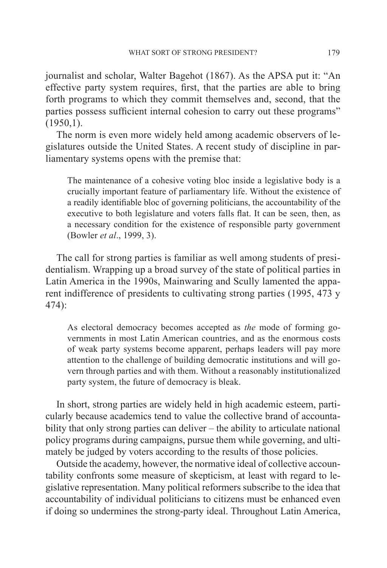journalist and scholar, Walter Bagehot (1867). As the APSA put it: "An effective party system requires, first, that the parties are able to bring forth programs to which they commit themselves and, second, that the parties possess sufficient internal cohesion to carry out these programs"  $(1950,1)$ .

The norm is even more widely held among academic observers of legislatures outside the United States. A recent study of discipline in parliamentary systems opens with the premise that:

The maintenance of a cohesive voting bloc inside a legislative body is a crucially important feature of parliamentary life. Without the existence of a readily identifiable bloc of governing politicians, the accountability of the executive to both legislature and voters falls flat. It can be seen, then, as a necessary condition for the existence of responsible party government (Bowler *et al*., 1999, 3).

The call for strong parties is familiar as well among students of presidentialism. Wrapping up a broad survey of the state of political parties in Latin America in the 1990s, Mainwaring and Scully lamented the apparent indifference of presidents to cultivating strong parties (1995, 473 y 474):

As electoral democracy becomes accepted as *the* mode of forming governments in most Latin American countries, and as the enormous costs of weak party systems become apparent, perhaps leaders will pay more attention to the challenge of building democratic institutions and will govern through parties and with them. Without a reasonably institutionalized party system, the future of democracy is bleak.

In short, strong parties are widely held in high academic esteem, particularly because academics tend to value the collective brand of accountability that only strong parties can deliver – the ability to articulate national policy programs during campaigns, pursue them while governing, and ultimately be judged by voters according to the results of those policies.

Outside the academy, however, the normative ideal of collective accountability confronts some measure of skepticism, at least with regard to legislative representation. Many political reformers subscribe to the idea that accountability of individual politicians to citizens must be enhanced even if doing so undermines the strong-party ideal. Throughout Latin America,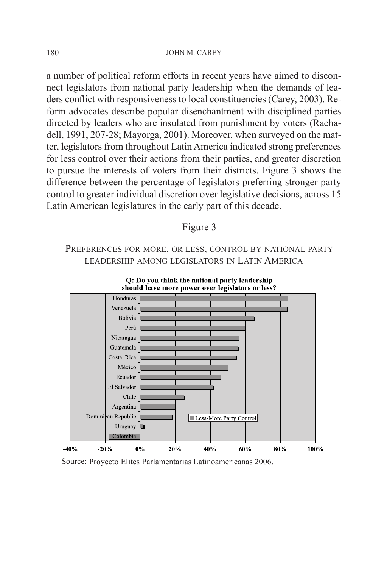a number of political reform efforts in recent years have aimed to disconnect legislators from national party leadership when the demands of leaders conflict with responsiveness to local constituencies (Carey, 2003). Reform advocates describe popular disenchantment with disciplined parties directed by leaders who are insulated from punishment by voters (Rachadell, 1991, 207-28; Mayorga, 2001). Moreover, when surveyed on the matter, legislators from throughout Latin America indicated strong preferences for less control over their actions from their parties, and greater discretion to pursue the interests of voters from their districts. Figure 3 shows the difference between the percentage of legislators preferring stronger party control to greater individual discretion over legislative decisions, across 15 Latin American legislatures in the early part of this decade.

## Figure 3

## Preferences for more, or less, control by national party leadership among legislators in Latin America



Q: Do you think the national party leadership

Source: Proyecto Elites Parlamentarias Latinoamericanas 2006.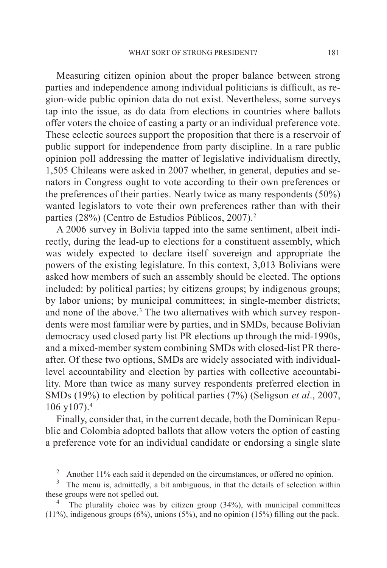Measuring citizen opinion about the proper balance between strong parties and independence among individual politicians is difficult, as region-wide public opinion data do not exist. Nevertheless, some surveys tap into the issue, as do data from elections in countries where ballots offer voters the choice of casting a party or an individual preference vote. These eclectic sources support the proposition that there is a reservoir of public support for independence from party discipline. In a rare public opinion poll addressing the matter of legislative individualism directly, 1,505 Chileans were asked in 2007 whether, in general, deputies and senators in Congress ought to vote according to their own preferences or the preferences of their parties. Nearly twice as many respondents (50%) wanted legislators to vote their own preferences rather than with their parties (28%) (Centro de Estudios Públicos, 2007).<sup>2</sup>

A 2006 survey in Bolivia tapped into the same sentiment, albeit indirectly, during the lead-up to elections for a constituent assembly, which was widely expected to declare itself sovereign and appropriate the powers of the existing legislature. In this context, 3,013 Bolivians were asked how members of such an assembly should be elected. The options included: by political parties; by citizens groups; by indigenous groups; by labor unions; by municipal committees; in single-member districts; and none of the above.<sup>3</sup> The two alternatives with which survey respondents were most familiar were by parties, and in SMDs, because Bolivian democracy used closed party list PR elections up through the mid-1990s, and a mixed-member system combining SMDs with closed-list PR thereafter. Of these two options, SMDs are widely associated with individuallevel accountability and election by parties with collective accountability. More than twice as many survey respondents preferred election in SMDs (19%) to election by political parties (7%) (Seligson *et al*., 2007, 106 y107).4

Finally, consider that, in the current decade, both the Dominican Republic and Colombia adopted ballots that allow voters the option of casting a preference vote for an individual candidate or endorsing a single slate

<sup>2</sup> Another 11% each said it depended on the circumstances, or offered no opinion.

<sup>&</sup>lt;sup>3</sup> The menu is, admittedly, a bit ambiguous, in that the details of selection within these groups were not spelled out.

The plurality choice was by citizen group  $(34%)$ , with municipal committees  $(11\%)$ , indigenous groups  $(6\%)$ , unions  $(5\%)$ , and no opinion  $(15\%)$  filling out the pack.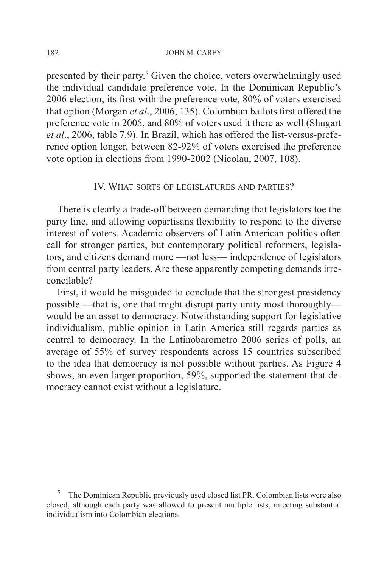presented by their party.<sup>5</sup> Given the choice, voters overwhelmingly used the individual candidate preference vote. In the Dominican Republic's 2006 election, its first with the preference vote, 80% of voters exercised that option (Morgan *et al*., 2006, 135). Colombian ballots first offered the preference vote in 2005, and 80% of voters used it there as well (Shugart *et al*., 2006, table 7.9). In Brazil, which has offered the list-versus-preference option longer, between 82-92% of voters exercised the preference vote option in elections from 1990-2002 (Nicolau, 2007, 108).

#### IV. What sorts of legislatures and parties?

There is clearly a trade-off between demanding that legislators toe the party line, and allowing copartisans flexibility to respond to the diverse interest of voters. Academic observers of Latin American politics often call for stronger parties, but contemporary political reformers, legislators, and citizens demand more —not less— independence of legislators from central party leaders. Are these apparently competing demands irreconcilable?

First, it would be misguided to conclude that the strongest presidency possible —that is, one that might disrupt party unity most thoroughly would be an asset to democracy. Notwithstanding support for legislative individualism, public opinion in Latin America still regards parties as central to democracy. In the Latinobarometro 2006 series of polls, an average of 55% of survey respondents across 15 countries subscribed to the idea that democracy is not possible without parties. As Figure 4 shows, an even larger proportion, 59%, supported the statement that democracy cannot exist without a legislature.

5 The Dominican Republic previously used closed list PR. Colombian lists were also closed, although each party was allowed to present multiple lists, injecting substantial individualism into Colombian elections.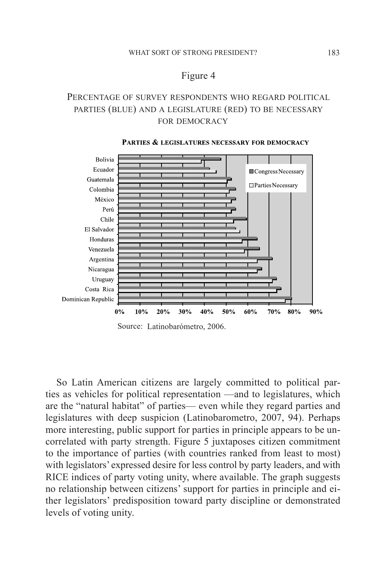### Figure 4

## Percentage of survey respondents who regard political parties (blue) and a legislature (red) to be necessary for democracy



#### PARTIES & LEGISLATURES NECESSARY FOR DEMOCRACY

Source: Latinobarómetro, 2006.

So Latin American citizens are largely committed to political parties as vehicles for political representation —and to legislatures, which are the "natural habitat" of parties— even while they regard parties and legislatures with deep suspicion (Latinobarometro, 2007, 94). Perhaps more interesting, public support for parties in principle appears to be uncorrelated with party strength. Figure 5 juxtaposes citizen commitment to the importance of parties (with countries ranked from least to most) with legislators' expressed desire for less control by party leaders, and with RICE indices of party voting unity, where available. The graph suggests no relationship between citizens' support for parties in principle and either legislators' predisposition toward party discipline or demonstrated levels of voting unity.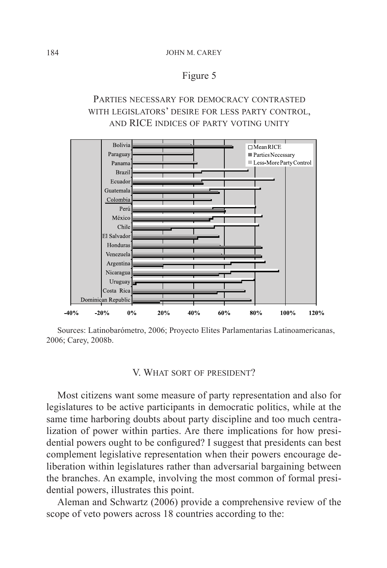## Figure 5

## Parties necessary for democracy contrasted with legislators' desire for less party control, and RICE indices of party voting unity



Sources: Latinobarómetro, 2006; Proyecto Elites Parlamentarias Latinoamericanas, 2006; Carey, 2008b.

### V. What sort of president?

Most citizens want some measure of party representation and also for legislatures to be active participants in democratic politics, while at the same time harboring doubts about party discipline and too much centralization of power within parties. Are there implications for how presidential powers ought to be configured? I suggest that presidents can best complement legislative representation when their powers encourage deliberation within legislatures rather than adversarial bargaining between the branches. An example, involving the most common of formal presidential powers, illustrates this point.

Aleman and Schwartz (2006) provide a comprehensive review of the scope of veto powers across 18 countries according to the: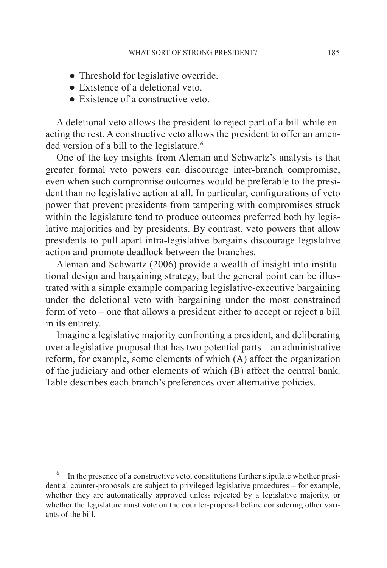- Threshold for legislative override.
- Existence of a deletional veto.
- Existence of a constructive veto.

A deletional veto allows the president to reject part of a bill while enacting the rest. A constructive veto allows the president to offer an amended version of a bill to the legislature.<sup>6</sup>

One of the key insights from Aleman and Schwartz's analysis is that greater formal veto powers can discourage inter-branch compromise, even when such compromise outcomes would be preferable to the president than no legislative action at all. In particular, configurations of veto power that prevent presidents from tampering with compromises struck within the legislature tend to produce outcomes preferred both by legislative majorities and by presidents. By contrast, veto powers that allow presidents to pull apart intra-legislative bargains discourage legislative action and promote deadlock between the branches.

Aleman and Schwartz (2006) provide a wealth of insight into institutional design and bargaining strategy, but the general point can be illustrated with a simple example comparing legislative-executive bargaining under the deletional veto with bargaining under the most constrained form of veto – one that allows a president either to accept or reject a bill in its entirety.

Imagine a legislative majority confronting a president, and deliberating over a legislative proposal that has two potential parts – an administrative reform, for example, some elements of which (A) affect the organization of the judiciary and other elements of which (B) affect the central bank. Table describes each branch's preferences over alternative policies.

In the presence of a constructive veto, constitutions further stipulate whether presidential counter-proposals are subject to privileged legislative procedures – for example, whether they are automatically approved unless rejected by a legislative majority, or whether the legislature must vote on the counter-proposal before considering other variants of the bill.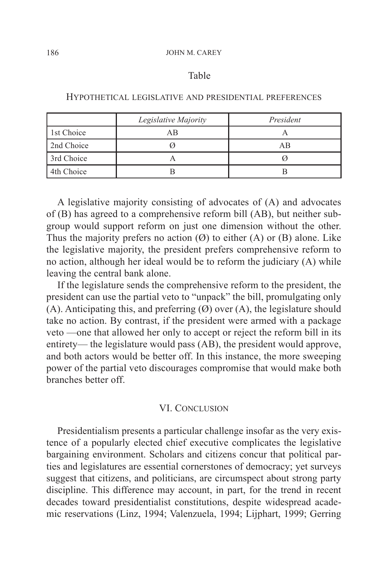#### Table

## Hypothetical legislative and presidential preferences

|            | Legislative Majority | President |
|------------|----------------------|-----------|
| 1st Choice | ΑB                   |           |
| 2nd Choice |                      | ΑB        |
| 3rd Choice |                      |           |
| 4th Choice |                      |           |

A legislative majority consisting of advocates of (A) and advocates of (B) has agreed to a comprehensive reform bill (AB), but neither subgroup would support reform on just one dimension without the other. Thus the majority prefers no action  $(\emptyset)$  to either  $(A)$  or  $(B)$  alone. Like the legislative majority, the president prefers comprehensive reform to no action, although her ideal would be to reform the judiciary (A) while leaving the central bank alone.

If the legislature sends the comprehensive reform to the president, the president can use the partial veto to "unpack" the bill, promulgating only  $(A)$ . Anticipating this, and preferring  $(\emptyset)$  over  $(A)$ , the legislature should take no action. By contrast, if the president were armed with a package veto —one that allowed her only to accept or reject the reform bill in its entirety— the legislature would pass (AB), the president would approve, and both actors would be better off. In this instance, the more sweeping power of the partial veto discourages compromise that would make both **branches** better off.

### VI. CONCLUSION

Presidentialism presents a particular challenge insofar as the very existence of a popularly elected chief executive complicates the legislative bargaining environment. Scholars and citizens concur that political parties and legislatures are essential cornerstones of democracy; yet surveys suggest that citizens, and politicians, are circumspect about strong party discipline. This difference may account, in part, for the trend in recent decades toward presidentialist constitutions, despite widespread academic reservations (Linz, 1994; Valenzuela, 1994; Lijphart, 1999; Gerring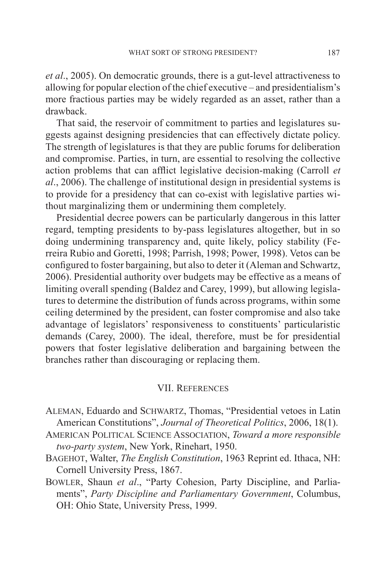*et al*., 2005). On democratic grounds, there is a gut-level attractiveness to allowing for popular election of the chief executive – and presidentialism's more fractious parties may be widely regarded as an asset, rather than a drawback.

That said, the reservoir of commitment to parties and legislatures suggests against designing presidencies that can effectively dictate policy. The strength of legislatures is that they are public forums for deliberation and compromise. Parties, in turn, are essential to resolving the collective action problems that can afflict legislative decision-making (Carroll *et al*., 2006). The challenge of institutional design in presidential systems is to provide for a presidency that can co-exist with legislative parties without marginalizing them or undermining them completely.

Presidential decree powers can be particularly dangerous in this latter regard, tempting presidents to by-pass legislatures altogether, but in so doing undermining transparency and, quite likely, policy stability (Ferreira Rubio and Goretti, 1998; Parrish, 1998; Power, 1998). Vetos can be configured to foster bargaining, but also to deter it (Aleman and Schwartz, 2006). Presidential authority over budgets may be effective as a means of limiting overall spending (Baldez and Carey, 1999), but allowing legislatures to determine the distribution of funds across programs, within some ceiling determined by the president, can foster compromise and also take advantage of legislators' responsiveness to constituents' particularistic demands (Carey, 2000). The ideal, therefore, must be for presidential powers that foster legislative deliberation and bargaining between the branches rather than discouraging or replacing them.

### VII. References

Aleman, Eduardo and Schwartz, Thomas, "Presidential vetoes in Latin American Constitutions", *Journal of Theoretical Politics*, 2006, 18(1).

American Political Science Association, *Toward a more responsible two-party system*, New York, Rinehart, 1950.

- Bagehot, Walter, *The English Constitution*, 1963 Reprint ed. Ithaca, NH: Cornell University Press, 1867.
- Bowler, Shaun *et al*., "Party Cohesion, Party Discipline, and Parliaments", *Party Discipline and Parliamentary Government*, Columbus, OH: Ohio State, University Press, 1999.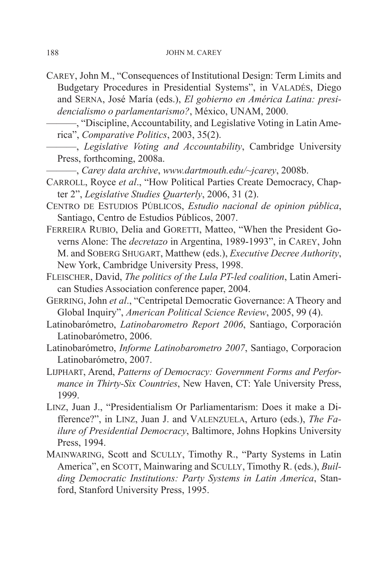- Carey, John M., "Consequences of Institutional Design: Term Limits and Budgetary Procedures in Presidential Systems", in Valadés, Diego and Serna, José María (eds.), *El gobierno en América Latina: presidencialismo o parlamentarismo?*, México, UNAM, 2000.
	- ———, "Discipline, Accountability, and Legislative Voting in Latin America", *Comparative Politics*, 2003, 35(2).
- ———, *Legislative Voting and Accountability*, Cambridge University Press, forthcoming, 2008a.
- ———, *Carey data archive*, *www.dartmouth.edu/~jcarey*, 2008b.
- CARROLL, Royce *et al.*, "How Political Parties Create Democracy, Chapter 2", *Legislative Studies Quarterly*, 2006, 31 (2).
- CENTRO DE ESTUDIOS PÚBLICOS, *Estudio nacional de opinion pública*, Santiago, Centro de Estudios Públicos, 2007.
- FERREIRA RUBIO, Delia and GORETTI, Matteo, "When the President Governs Alone: The *decretazo* in Argentina, 1989-1993", in Carey, John M. and Soberg Shugart, Matthew (eds.), *Executive Decree Authority*, New York, Cambridge University Press, 1998.
- Fleischer, David, *The politics of the Lula PT-led coalition*, Latin American Studies Association conference paper, 2004.
- Gerring, John *et al*., "Centripetal Democratic Governance: A Theory and Global Inquiry", *American Political Science Review*, 2005, 99 (4).
- Latinobarómetro, *Latinobarometro Report 2006*, Santiago, Corporación Latinobarómetro, 2006.
- Latinobarómetro, *Informe Latinobarometro 2007*, Santiago, Corporacion Latinobarómetro, 2007.
- Lijphart, Arend, *Patterns of Democracy: Government Forms and Performance in Thirty-Six Countries*, New Haven, CT: Yale University Press, 1999.
- Linz, Juan J., "Presidentialism Or Parliamentarism: Does it make a Difference?", in Linz, Juan J. and Valenzuela, Arturo (eds.), *The Failure of Presidential Democracy*, Baltimore, Johns Hopkins University Press, 1994.
- Mainwaring, Scott and Scully, Timothy R., "Party Systems in Latin America", en SCOTT, Mainwaring and SCULLY, Timothy R. (eds.), *Building Democratic Institutions: Party Systems in Latin America*, Stanford, Stanford University Press, 1995.